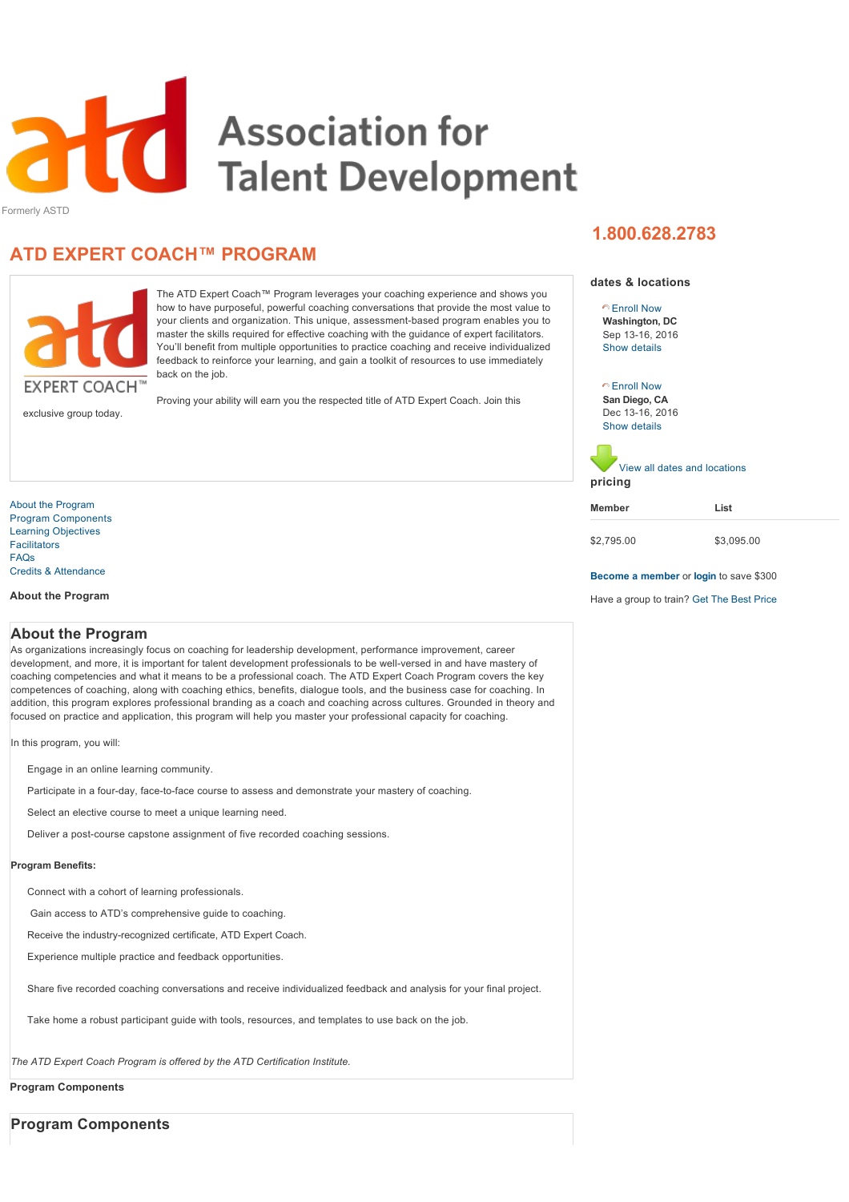<span id="page-0-2"></span>

Formerly ASTD

# **ATD EXPERT COACH™ PROGRAM**



The ATD Expert Coach™ Program leverages your coaching experience and shows you how to have purposeful, powerful coaching conversations that provide the most value to your clients and organization. This unique, assessment-based program enables you to master the skills required for effective coaching with the guidance of expert facilitators. You'll benefit from multiple opportunities to practice coaching and receive individualized feedback to reinforce your learning, and gain a toolkit of resources to use immediately back on the job.

exclusive group today.

Proving your ability will earn you the respected title of ATD Expert Coach. Join this

[About the Program](#page-0-0) [Program Components](#page-0-1) [Learning Objectives](#page-1-0) [Facilitators](#page-2-0) [FAQs](#page-2-1) [Credits & Attendance](#page-3-0)

**About the Program**

## **pricing Member List**

[View all dates and locations](javascript:void(0))

**Washington, DC** Sep 13-16, 2016 [Enroll Now](javascript:void(0))

**dates & locations**

**1.800.628.2783**

[Show details](javascript:void(0))

**San Diego, CA** Dec 13-16, 2016

[Enroll Now](javascript:void(0))

[Show details](javascript:void(0))

## \$2,795.00 \$3,095.00

```
Become a member or login to save $300
```
Have a group to train? [Get The Best Price](javascript:void(0))

## <span id="page-0-0"></span>**About the Program**

As organizations increasingly focus on coaching for leadership development, performance improvement, career development, and more, it is important for talent development professionals to be well-versed in and have mastery of coaching competencies and what it means to be a professional coach. The ATD Expert Coach Program covers the key competences of coaching, along with coaching ethics, benefits, dialogue tools, and the business case for coaching. In addition, this program explores professional branding as a coach and coaching across cultures. Grounded in theory and focused on practice and application, this program will help you master your professional capacity for coaching.

In this program, you will:

Engage in an online learning community.

Participate in a four-day, face-to-face course to assess and demonstrate your mastery of coaching.

Select an elective course to meet a unique learning need.

Deliver a post-course capstone assignment of five recorded coaching sessions.

## **Program Benefits:**

Connect with a cohort of learning professionals.

Gain access to ATD's comprehensive guide to coaching.

Receive the industry-recognized certificate, ATD Expert Coach.

Experience multiple practice and feedback opportunities.

Share five recorded coaching conversations and receive individualized feedback and analysis for your final project.

Take home a robust participant guide with tools, resources, and templates to use back on the job.

*The ATD Expert Coach Program is offered by the ATD Certification Institute.*

**Program Components**

<span id="page-0-1"></span>**Program Components**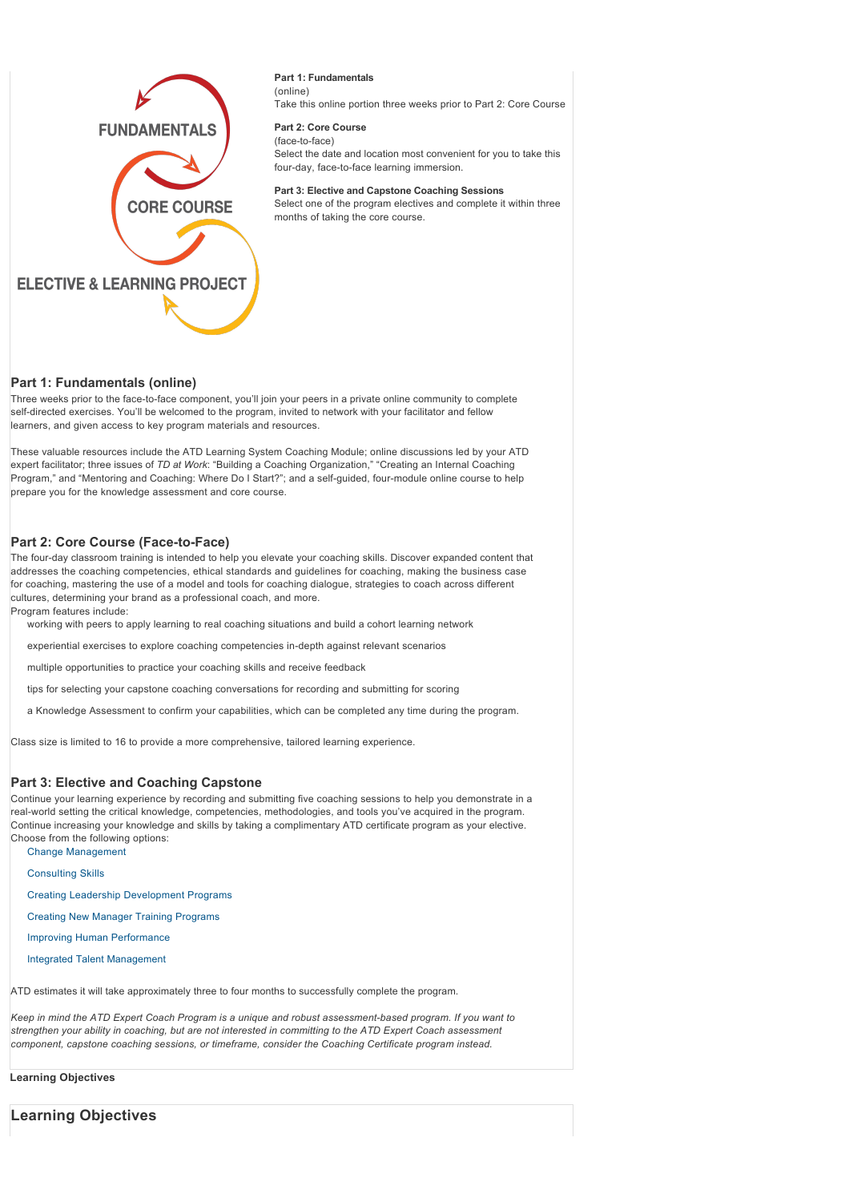

## **Part 1: Fundamentals** (online)

Take this online portion three weeks prior to Part 2: Core Course

#### **Part 2: Core Course** (face-to-face)

Select the date and location most convenient for you to take this four-day, face-to-face learning immersion.

#### **Part 3: Elective and Capstone Coaching Sessions**

Select one of the program electives and complete it within three months of taking the core course.

## **Part 1: Fundamentals (online)**

Three weeks prior to the face-to-face component, you'll join your peers in a private online community to complete self-directed exercises. You'll be welcomed to the program, invited to network with your facilitator and fellow learners, and given access to key program materials and resources.

These valuable resources include the ATD Learning System Coaching Module; online discussions led by your ATD expert facilitator; three issues of *TD at Work*: "Building a Coaching Organization," "Creating an Internal Coaching Program," and "Mentoring and Coaching: Where Do I Start?"; and a self-guided, four-module online course to help prepare you for the knowledge assessment and core course.

## **Part 2: Core Course (Face-to-Face)**

The four-day classroom training is intended to help you elevate your coaching skills. Discover expanded content that addresses the coaching competencies, ethical standards and guidelines for coaching, making the business case for coaching, mastering the use of a model and tools for coaching dialogue, strategies to coach across different cultures, determining your brand as a professional coach, and more.

Program features include:

working with peers to apply learning to real coaching situations and build a cohort learning network

experiential exercises to explore coaching competencies in-depth against relevant scenarios

multiple opportunities to practice your coaching skills and receive feedback

tips for selecting your capstone coaching conversations for recording and submitting for scoring

a Knowledge Assessment to confirm your capabilities, which can be completed any time during the program.

Class size is limited to 16 to provide a more comprehensive, tailored learning experience.

#### **Part 3: Elective and Coaching Capstone**

Continue your learning experience by recording and submitting five coaching sessions to help you demonstrate in a real-world setting the critical knowledge, competencies, methodologies, and tools you've acquired in the program. Continue increasing your knowledge and skills by taking a complimentary ATD certificate program as your elective. Choose from the following options:

[Change Management](http://www.td.org/Education/Programs/Change-Management-Certificate)

[Consulting Skills](http://www.td.org/Education/Programs/Consulting-Skills-Certificate)

[Creating Leadership Development Programs](http://www.td.org/Education/Programs/Creating-Leadership-Development-Programs-Certificate)

[Creating New Manager Training Programs](http://www.td.org/Education/Programs/Creating-New-Managers-Training-Programs-Certificate)

[Improving Human Performance](http://www.td.org/Education/Programs/Improving-Human-Performance-Certificate)

[Integrated Talent Management](http://www.td.org/Education/Programs/Integrated-Talent-Management-Certificate)

ATD estimates it will take approximately three to four months to successfully complete the program.

Keep in mind the ATD Expert Coach Program is a unique and robust assessment-based program. If you want to *strengthen your ability in coaching, but are not interested in committing to the ATD Expert Coach assessment component, capstone coaching sessions, or timeframe, consider the Coaching Certificate program instead.*

#### **Learning Objectives**

<span id="page-1-0"></span>**Learning Objectives**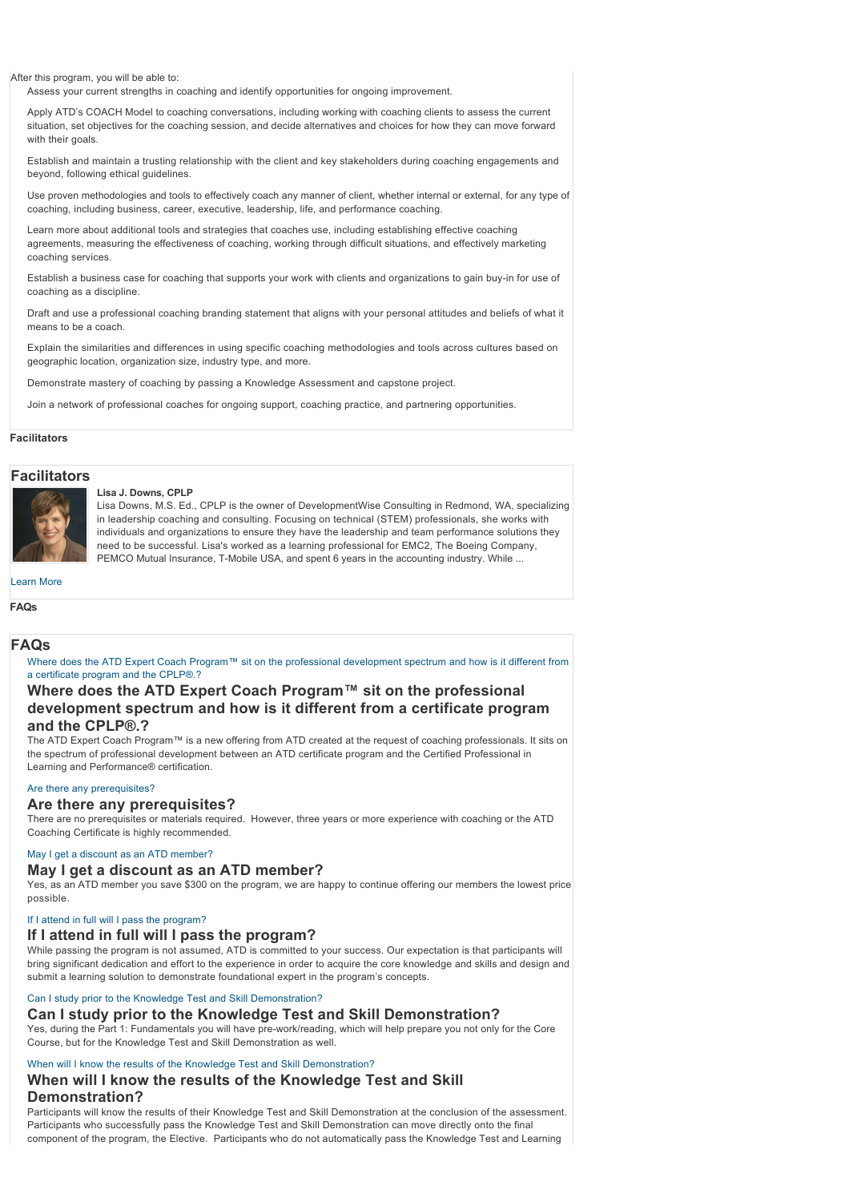After this program, you will be able to:

Assess your current strengths in coaching and identify opportunities for ongoing improvement.

Apply ATD's COACH Model to coaching conversations, including working with coaching clients to assess the current situation, set objectives for the coaching session, and decide alternatives and choices for how they can move forward with their goals.

Establish and maintain a trusting relationship with the client and key stakeholders during coaching engagements and beyond, following ethical guidelines.

Use proven methodologies and tools to effectively coach any manner of client, whether internal or external, for any type of coaching, including business, career, executive, leadership, life, and performance coaching.

Learn more about additional tools and strategies that coaches use, including establishing effective coaching agreements, measuring the effectiveness of coaching, working through difficult situations, and effectively marketing coaching services.

Establish a business case for coaching that supports your work with clients and organizations to gain buy-in for use of coaching as a discipline.

Draft and use a professional coaching branding statement that aligns with your personal attitudes and beliefs of what it means to be a coach.

Explain the similarities and differences in using specific coaching methodologies and tools across cultures based on geographic location, organization size, industry type, and more.

Demonstrate mastery of coaching by passing a Knowledge Assessment and capstone project.

Join a network of professional coaches for ongoing support, coaching practice, and partnering opportunities.

#### **Facilitators**

#### <span id="page-2-0"></span>**Facilitators**



## **Lisa J. Downs, CPLP**

Lisa Downs, M.S. Ed., CPLP is the owner of DevelopmentWise Consulting in Redmond, WA, specializing in leadership coaching and consulting. Focusing on technical (STEM) professionals, she works with individuals and organizations to ensure they have the leadership and team performance solutions they need to be successful. Lisa's worked as a learning professional for EMC2, The Boeing Company, PEMCO Mutual Insurance, T-Mobile USA, and spent 6 years in the accounting industry. While .

[Learn More](#page-0-2)

#### **FAQs**

## <span id="page-2-1"></span>**FAQs**

[Where does the ATD Expert Coach Program™ sit on the professional development spectrum and how is it different from](#page-2-2) a certificate program and the CPLP®.?

## <span id="page-2-2"></span>**Where does the ATD Expert Coach Program™ sit on the professional development spectrum and how is it different from a certificate program and the CPLP®.?**

The ATD Expert Coach Program™ is a new offering from ATD created at the request of coaching professionals. It sits on the spectrum of professional development between an ATD certificate program and the Certified Professional in Learning and Performance® certification.

#### [Are there any prerequisites?](#page-2-3)

#### <span id="page-2-3"></span>**Are there any prerequisites?**

There are no prerequisites or materials required. However, three years or more experience with coaching or the ATD Coaching Certificate is highly recommended.

#### [May I get a discount as an ATD member?](#page-2-4)

## <span id="page-2-4"></span>**May I get a discount as an ATD member?**

Yes, as an ATD member you save \$300 on the program, we are happy to continue offering our members the lowest price possible.

#### [If I attend in full will I pass the program?](#page-2-5)

## <span id="page-2-5"></span>**If I attend in full will I pass the program?**

While passing the program is not assumed. ATD is committed to your success. Our expectation is that participants will bring significant dedication and effort to the experience in order to acquire the core knowledge and skills and design and submit a learning solution to demonstrate foundational expert in the program's concepts.

#### <span id="page-2-6"></span>[Can I study prior to the Knowledge Test and Skill Demonstration?](#page-2-6) **Can I study prior to the Knowledge Test and Skill Demonstration?**

Yes, during the Part 1: Fundamentals you will have pre-work/reading, which will help prepare you not only for the Core Course, but for the Knowledge Test and Skill Demonstration as well.

#### [When will I know the results of the Knowledge Test and Skill Demonstration?](#page-2-7)

## <span id="page-2-7"></span>**When will I know the results of the Knowledge Test and Skill Demonstration?**

Participants will know the results of their Knowledge Test and Skill Demonstration at the conclusion of the assessment. Participants who successfully pass the Knowledge Test and Skill Demonstration can move directly onto the final component of the program, the Elective. Participants who do not automatically pass the Knowledge Test and Learning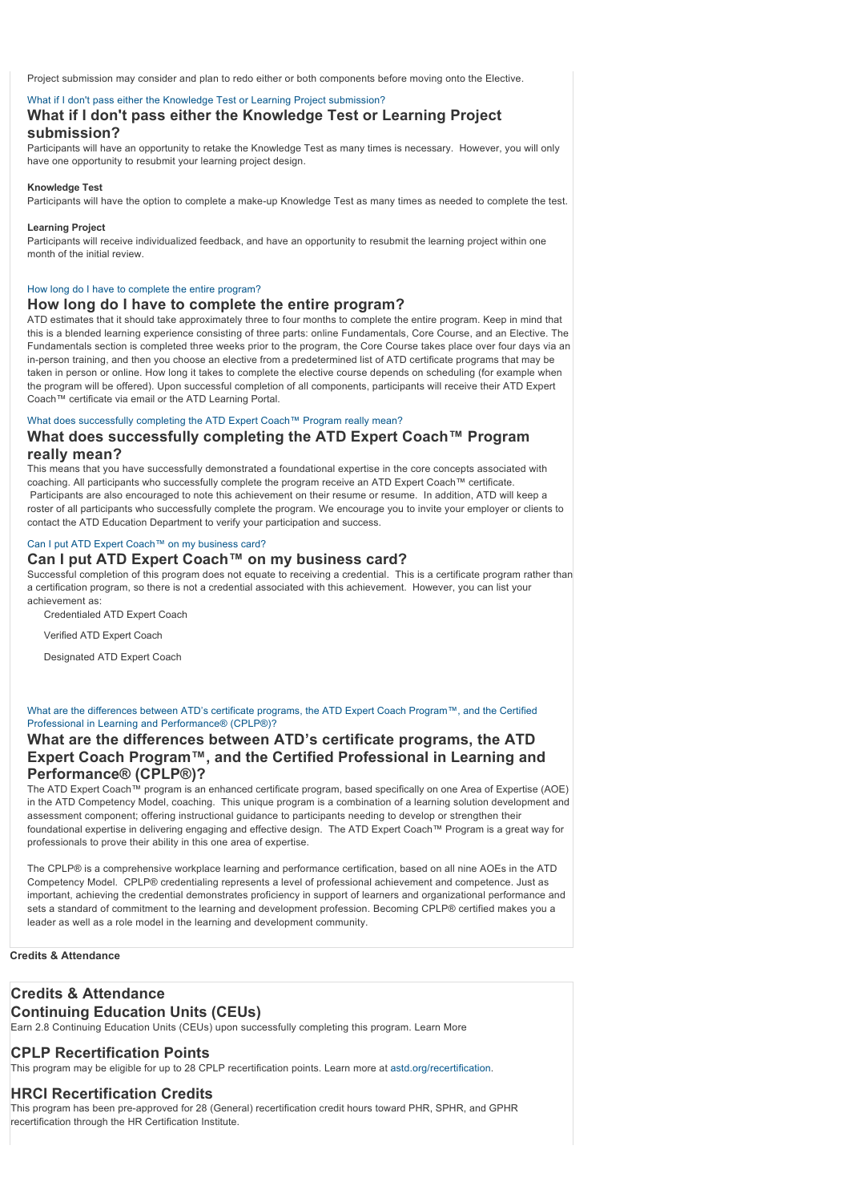Project submission may consider and plan to redo either or both components before moving onto the Elective.

#### [What if I don't pass either the Knowledge Test or Learning Project submission?](#page-3-1)

## <span id="page-3-1"></span>**What if I don't pass either the Knowledge Test or Learning Project submission?**

Participants will have an opportunity to retake the Knowledge Test as many times is necessary. However, you will only have one opportunity to resubmit your learning project design.

#### **Knowledge Test**

Participants will have the option to complete a make-up Knowledge Test as many times as needed to complete the test.

#### **Learning Project**

Participants will receive individualized feedback, and have an opportunity to resubmit the learning project within one month of the initial review.

#### [How long do I have to complete the entire program?](#page-3-2)

#### <span id="page-3-2"></span>**How long do I have to complete the entire program?**

ATD estimates that it should take approximately three to four months to complete the entire program. Keep in mind that this is a blended learning experience consisting of three parts: online Fundamentals, Core Course, and an Elective. The Fundamentals section is completed three weeks prior to the program, the Core Course takes place over four days via an in-person training, and then you choose an elective from a predetermined list of ATD certificate programs that may be taken in person or online. How long it takes to complete the elective course depends on scheduling (for example when the program will be offered). Upon successful completion of all components, participants will receive their ATD Expert Coach™ certificate via email or the ATD Learning Portal.

#### [What does successfully completing the ATD Expert Coach™ Program really mean?](#page-3-3)

## <span id="page-3-3"></span>**What does successfully completing the ATD Expert Coach™ Program really mean?**

This means that you have successfully demonstrated a foundational expertise in the core concepts associated with coaching. All participants who successfully complete the program receive an ATD Expert Coach™ certificate. Participants are also encouraged to note this achievement on their resume or resume. In addition, ATD will keep a roster of all participants who successfully complete the program. We encourage you to invite your employer or clients to contact the ATD Education Department to verify your participation and success.

#### [Can I put ATD Expert Coach™ on my business card?](#page-3-4)

## <span id="page-3-4"></span>**Can I put ATD Expert Coach™ on my business card?**

Successful completion of this program does not equate to receiving a credential. This is a certificate program rather than a certification program, so there is not a credential associated with this achievement. However, you can list your achievement as:

Credentialed ATD Expert Coach

Verified ATD Expert Coach

Designated ATD Expert Coach

#### [What are the differences between ATD's certificate programs, the ATD Expert Coach Program™, and the Certified](#page-3-5) Professional in Learning and Performance® (CPLP®)?

## <span id="page-3-5"></span>**What are the differences between ATD's certificate programs, the ATD Expert Coach Program™, and the Certified Professional in Learning and Performance® (CPLP®)?**

The ATD Expert Coach™ program is an enhanced certificate program, based specifically on one Area of Expertise (AOE) in the ATD Competency Model, coaching. This unique program is a combination of a learning solution development and assessment component; offering instructional guidance to participants needing to develop or strengthen their foundational expertise in delivering engaging and effective design. The ATD Expert Coach™ Program is a great way for professionals to prove their ability in this one area of expertise.

The CPLP® is a comprehensive workplace learning and performance certification, based on all nine AOEs in the ATD Competency Model. CPLP® credentialing represents a level of professional achievement and competence. Just as important, achieving the credential demonstrates proficiency in support of learners and organizational performance and sets a standard of commitment to the learning and development profession. Becoming CPLP® certified makes you a leader as well as a role model in the learning and development community.

#### **Credits & Attendance**

## <span id="page-3-0"></span>**Credits & Attendance**

## **Continuing Education Units (CEUs)**

Earn 2.8 Continuing Education Units (CEUs) upon successfully completing this program. Learn More

#### **CPLP Recertification Points**

This program may be eligible for up to 28 CPLP recertification points. Learn more at [astd.org/recertification.](http://www.td.org/Certification/For-CPLPs/Recertification)

## **HRCI Recertification Credits**

This program has been pre-approved for 28 (General) recertification credit hours toward PHR, SPHR, and GPHR recertification through the HR Certification Institute.